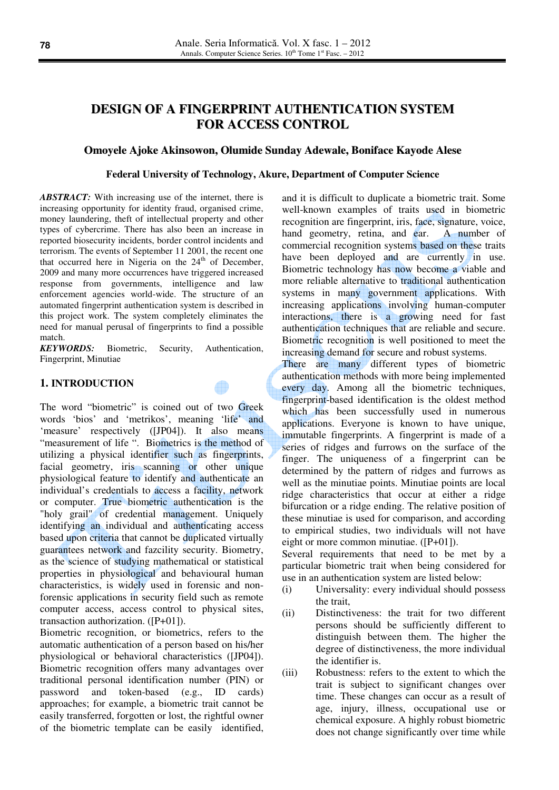# **DESIGN OF A FINGERPRINT AUTHENTICATION SYSTEM FOR ACCESS CONTROL**

### **Omoyele Ajoke Akinsowon, Olumide Sunday Adewale, Boniface Kayode Alese**

#### **Federal University of Technology, Akure, Department of Computer Science**

*ABSTRACT:* With increasing use of the internet, there is increasing opportunity for identity fraud, organised crime, money laundering, theft of intellectual property and other types of cybercrime. There has also been an increase in reported biosecurity incidents, border control incidents and terrorism. The events of September 11 2001, the recent one that occurred here in Nigeria on the  $24<sup>th</sup>$  of December, 2009 and many more occurrences have triggered increased response from governments, intelligence and law enforcement agencies world-wide. The structure of an automated fingerprint authentication system is described in this project work. The system completely eliminates the need for manual perusal of fingerprints to find a possible match.

*KEYWORDS:* Biometric, Security, Authentication, Fingerprint, Minutiae

#### **1. INTRODUCTION**

The word "biometric" is coined out of two Greek words 'bios' and 'metrikos', meaning 'life' and 'measure' respectively ([JP04]). It also means "measurement of life". Biometrics is the method of utilizing a physical identifier such as fingerprints, facial geometry, iris scanning or other unique physiological feature to identify and authenticate an individual's credentials to access a facility, network or computer. True biometric authentication is the "holy grail" of credential management. Uniquely identifying an individual and authenticating access based upon criteria that cannot be duplicated virtually guarantees network and fazcility security. Biometry, as the science of studying mathematical or statistical properties in physiological and behavioural human characteristics, is widely used in forensic and nonforensic applications in security field such as remote computer access, access control to physical sites, transaction authorization. ([P+01]).

Biometric recognition, or biometrics, refers to the automatic authentication of a person based on his/her physiological or behavioral characteristics ([JP04]). Biometric recognition offers many advantages over traditional personal identification number (PIN) or password and token-based (e.g., ID cards) approaches; for example, a biometric trait cannot be easily transferred, forgotten or lost, the rightful owner of the biometric template can be easily identified,

and it is difficult to duplicate a biometric trait. Some well-known examples of traits used in biometric recognition are fingerprint, iris, face, signature, voice, hand geometry, retina, and ear. A number of commercial recognition systems based on these traits have been deployed and are currently in use. Biometric technology has now become a viable and more reliable alternative to traditional authentication systems in many government applications. With increasing applications involving human-computer interactions, there is a growing need for fast authentication techniques that are reliable and secure. Biometric recognition is well positioned to meet the increasing demand for secure and robust systems.

There are many different types of biometric authentication methods with more being implemented every day. Among all the biometric techniques, fingerprint-based identification is the oldest method which has been successfully used in numerous applications. Everyone is known to have unique, immutable fingerprints. A fingerprint is made of a series of ridges and furrows on the surface of the finger. The uniqueness of a fingerprint can be determined by the pattern of ridges and furrows as well as the minutiae points. Minutiae points are local ridge characteristics that occur at either a ridge bifurcation or a ridge ending. The relative position of these minutiae is used for comparison, and according to empirical studies, two individuals will not have eight or more common minutiae. ([P+01]).

Several requirements that need to be met by a particular biometric trait when being considered for use in an authentication system are listed below:

- (i) Universality: every individual should possess the trait,
- (ii) Distinctiveness: the trait for two different persons should be sufficiently different to distinguish between them. The higher the degree of distinctiveness, the more individual the identifier is.
- (iii) Robustness: refers to the extent to which the trait is subject to significant changes over time. These changes can occur as a result of age, injury, illness, occupational use or chemical exposure. A highly robust biometric does not change significantly over time while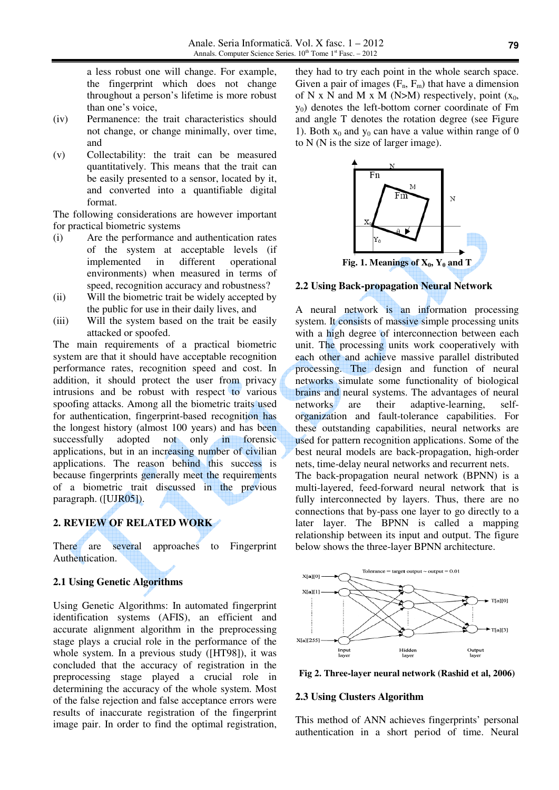a less robust one will change. For example, the fingerprint which does not change throughout a person's lifetime is more robust than one's voice,

- (iv) Permanence: the trait characteristics should not change, or change minimally, over time, and
- (v) Collectability: the trait can be measured quantitatively. This means that the trait can be easily presented to a sensor, located by it, and converted into a quantifiable digital format.

The following considerations are however important for practical biometric systems

- (i) Are the performance and authentication rates of the system at acceptable levels (if implemented in different operational environments) when measured in terms of speed, recognition accuracy and robustness?
- (ii) Will the biometric trait be widely accepted by the public for use in their daily lives, and
- (iii) Will the system based on the trait be easily attacked or spoofed.

The main requirements of a practical biometric system are that it should have acceptable recognition performance rates, recognition speed and cost. In addition, it should protect the user from privacy intrusions and be robust with respect to various spoofing attacks. Among all the biometric traits used for authentication, fingerprint-based recognition has the longest history (almost 100 years) and has been successfully adopted not only in forensic applications, but in an increasing number of civilian applications. The reason behind this success is because fingerprints generally meet the requirements of a biometric trait discussed in the previous paragraph. ([UJR05]).

# **2. REVIEW OF RELATED WORK**

There are several approaches to Fingerprint Authentication.

### **2.1 Using Genetic Algorithms**

Using Genetic Algorithms: In automated fingerprint identification systems (AFIS), an efficient and accurate alignment algorithm in the preprocessing stage plays a crucial role in the performance of the whole system. In a previous study ([HT98]), it was concluded that the accuracy of registration in the preprocessing stage played a crucial role in determining the accuracy of the whole system. Most of the false rejection and false acceptance errors were results of inaccurate registration of the fingerprint image pair. In order to find the optimal registration, they had to try each point in the whole search space. Given a pair of images  $(F_n, F_m)$  that have a dimension of N x N and M x M (N>M) respectively, point  $(x_0,$  $y_0$ ) denotes the left-bottom corner coordinate of Fm and angle T denotes the rotation degree (see Figure 1). Both  $x_0$  and  $y_0$  can have a value within range of 0 to N (N is the size of larger image).



### **2.2 Using Back-propagation Neural Network**

A neural network is an information processing system. It consists of massive simple processing units with a high degree of interconnection between each unit. The processing units work cooperatively with each other and achieve massive parallel distributed processing. The design and function of neural networks simulate some functionality of biological brains and neural systems. The advantages of neural networks are their adaptive-learning, selforganization and fault-tolerance capabilities. For these outstanding capabilities, neural networks are used for pattern recognition applications. Some of the best neural models are back-propagation, high-order nets, time-delay neural networks and recurrent nets.

The back-propagation neural network (BPNN) is a multi-layered, feed-forward neural network that is fully interconnected by layers. Thus, there are no connections that by-pass one layer to go directly to a later layer. The BPNN is called a mapping relationship between its input and output. The figure below shows the three-layer BPNN architecture.



**Fig 2. Three-layer neural network (Rashid et al, 2006)** 

#### **2.3 Using Clusters Algorithm**

This method of ANN achieves fingerprints' personal authentication in a short period of time. Neural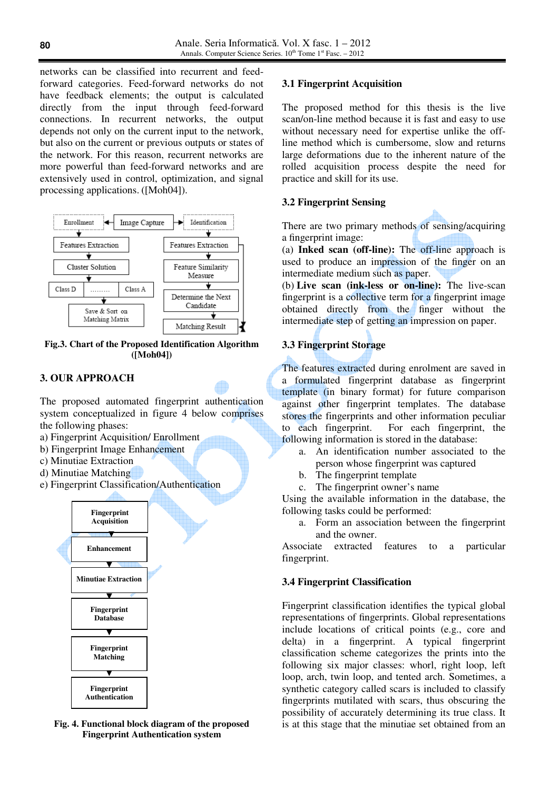networks can be classified into recurrent and feedforward categories. Feed-forward networks do not have feedback elements; the output is calculated directly from the input through feed-forward connections. In recurrent networks, the output depends not only on the current input to the network, but also on the current or previous outputs or states of the network. For this reason, recurrent networks are more powerful than feed-forward networks and are extensively used in control, optimization, and signal processing applications. ([Moh04]).



**Fig.3. Chart of the Proposed Identification Algorithm ([Moh04])** 

## **3. OUR APPROACH**

The proposed automated fingerprint authentication system conceptualized in figure 4 below comprises the following phases:

- a) Fingerprint Acquisition/ Enrollment
- b) Fingerprint Image Enhancement
- c) Minutiae Extraction
- d) Minutiae Matching
- e) Fingerprint Classification/Authentication



**Fig. 4. Functional block diagram of the proposed Fingerprint Authentication system** 

### **3.1 Fingerprint Acquisition**

The proposed method for this thesis is the live scan/on-line method because it is fast and easy to use without necessary need for expertise unlike the offline method which is cumbersome, slow and returns large deformations due to the inherent nature of the rolled acquisition process despite the need for practice and skill for its use.

### **3.2 Fingerprint Sensing**

There are two primary methods of sensing/acquiring a fingerprint image:

(a) **Inked scan (off-line):** The off-line approach is used to produce an impression of the finger on an intermediate medium such as paper.

(b) **Live scan (ink-less or on-line):** The live-scan fingerprint is a collective term for a fingerprint image obtained directly from the finger without the intermediate step of getting an impression on paper.

### **3.3 Fingerprint Storage**

The features extracted during enrolment are saved in a formulated fingerprint database as fingerprint template (in binary format) for future comparison against other fingerprint templates. The database stores the fingerprints and other information peculiar to each fingerprint. For each fingerprint, the following information is stored in the database:

- a. An identification number associated to the person whose fingerprint was captured
- b. The fingerprint template
- c. The fingerprint owner's name

Using the available information in the database, the following tasks could be performed:

a. Form an association between the fingerprint and the owner.

Associate extracted features to a particular fingerprint.

### **3.4 Fingerprint Classification**

Fingerprint classification identifies the typical global representations of fingerprints. Global representations include locations of critical points (e.g., core and delta) in a fingerprint. A typical fingerprint classification scheme categorizes the prints into the following six major classes: whorl, right loop, left loop, arch, twin loop, and tented arch. Sometimes, a synthetic category called scars is included to classify fingerprints mutilated with scars, thus obscuring the possibility of accurately determining its true class. It is at this stage that the minutiae set obtained from an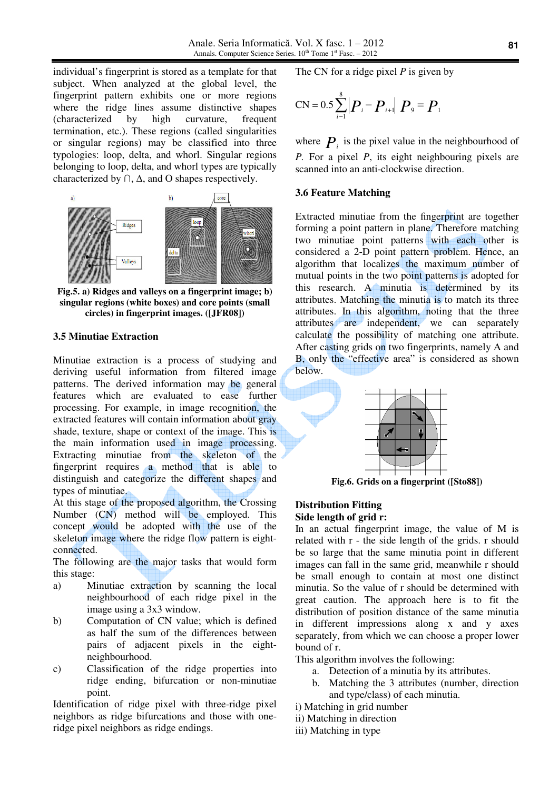individual's fingerprint is stored as a template for that subject. When analyzed at the global level, the fingerprint pattern exhibits one or more regions where the ridge lines assume distinctive shapes (characterized by high curvature, frequent termination, etc.). These regions (called singularities or singular regions) may be classified into three typologies: loop, delta, and whorl. Singular regions belonging to loop, delta, and whorl types are typically characterized by  $\cap$ ,  $\Delta$ , and O shapes respectively.



**Fig.5. a) Ridges and valleys on a fingerprint image; b) singular regions (white boxes) and core points (small circles) in fingerprint images. ([JFR08])** 

#### **3.5 Minutiae Extraction**

Minutiae extraction is a process of studying and deriving useful information from filtered image patterns. The derived information may be general features which are evaluated to ease further processing. For example, in image recognition, the extracted features will contain information about gray shade, texture, shape or context of the image. This is the main information used in image processing. Extracting minutiae from the skeleton of the fingerprint requires a method that is able to distinguish and categorize the different shapes and types of minutiae.

At this stage of the proposed algorithm, the Crossing Number (CN) method will be employed. This concept would be adopted with the use of the skeleton image where the ridge flow pattern is eightconnected.

The following are the major tasks that would form this stage:

- a) Minutiae extraction by scanning the local neighbourhood of each ridge pixel in the image using a 3x3 window.
- b) Computation of CN value; which is defined as half the sum of the differences between pairs of adjacent pixels in the eightneighbourhood.
- c) Classification of the ridge properties into ridge ending, bifurcation or non-minutiae point.

Identification of ridge pixel with three-ridge pixel neighbors as ridge bifurcations and those with oneridge pixel neighbors as ridge endings.

The CN for a ridge pixel *P* is given by

$$
CN = 0.5 \sum_{i=1}^{8} |P_i - P_{i+1}| P_9 = P_1
$$

where  $P_i$  is the pixel value in the neighbourhood of *P.* For a pixel *P*, its eight neighbouring pixels are scanned into an anti-clockwise direction.

#### **3.6 Feature Matching**

Extracted minutiae from the fingerprint are together forming a point pattern in plane. Therefore matching two minutiae point patterns with each other is considered a 2-D point pattern problem. Hence, an algorithm that localizes the maximum number of mutual points in the two point patterns is adopted for this research. A minutia is determined by its attributes. Matching the minutia is to match its three attributes. In this algorithm, noting that the three attributes are independent, we can separately calculate the possibility of matching one attribute. After casting grids on two fingerprints, namely A and B, only the "effective area" is considered as shown below.



**Fig.6. Grids on a fingerprint ([Sto88])** 

#### **Distribution Fitting Side length of grid r:**

In an actual fingerprint image, the value of M is related with r - the side length of the grids. r should be so large that the same minutia point in different images can fall in the same grid, meanwhile r should be small enough to contain at most one distinct minutia. So the value of r should be determined with great caution. The approach here is to fit the distribution of position distance of the same minutia different impressions along x and y axes separately, from which we can choose a proper lower bound of r.

This algorithm involves the following:

- a. Detection of a minutia by its attributes.
- b. Matching the 3 attributes (number, direction and type/class) of each minutia.
- i) Matching in grid number
- ii) Matching in direction
- iii) Matching in type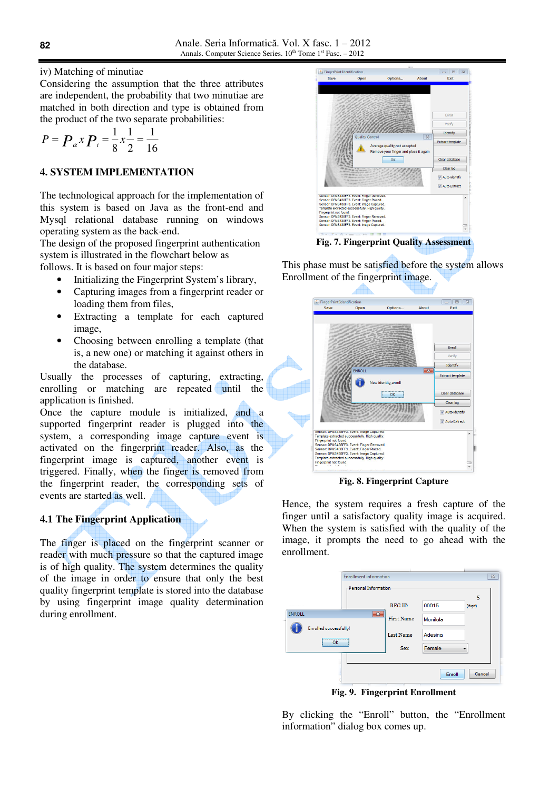iv) Matching of minutiae

Considering the assumption that the three attributes are independent, the probability that two minutiae are matched in both direction and type is obtained from the product of the two separate probabilities:

$$
P = \boldsymbol{P}_{\alpha} x \boldsymbol{P}_{\alpha} = \frac{1}{8} x \frac{1}{2} = \frac{1}{16}
$$

### **4. SYSTEM IMPLEMENTATION**

The technological approach for the implementation of this system is based on Java as the front-end and Mysql relational database running on windows operating system as the back-end.

The design of the proposed fingerprint authentication system is illustrated in the flowchart below as follows. It is based on four major steps:

- Initializing the Fingerprint System's library,
- Capturing images from a fingerprint reader or loading them from files,
- Extracting a template for each captured image,
- Choosing between enrolling a template (that is, a new one) or matching it against others in the database.

Usually the processes of capturing, extracting, enrolling or matching are repeated until the application is finished.

Once the capture module is initialized, and a supported fingerprint reader is plugged into the system, a corresponding image capture event is activated on the fingerprint reader. Also, as the fingerprint image is captured, another event is triggered. Finally, when the finger is removed from the fingerprint reader, the corresponding sets of events are started as well.

### **4.1 The Fingerprint Application**

The finger is placed on the fingerprint scanner or reader with much pressure so that the captured image is of high quality. The system determines the quality of the image in order to ensure that only the best quality fingerprint template is stored into the database by using fingerprint image quality determination during enrollment.



**Fig. 7. Fingerprint Quality Assessment** 

This phase must be satisfied before the system allows Enrollment of the fingerprint image.



**Fig. 8. Fingerprint Capture** 

Hence, the system requires a fresh capture of the finger until a satisfactory quality image is acquired. When the system is satisfied with the quality of the image, it prompts the need to go ahead with the enrollment.



**Fig. 9. Fingerprint Enrollment** 

By clicking the "Enroll" button, the "Enrollment information" dialog box comes up.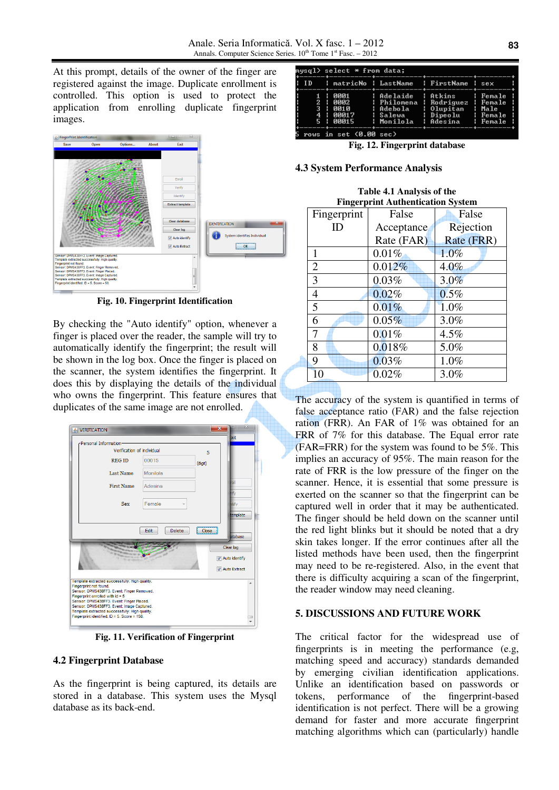At this prompt, details of the owner of the finger are registered against the image. Duplicate enrollment is controlled. This option is used to protect the application from enrolling duplicate fingerprint images.



**Fig. 10. Fingerprint Identification** 

By checking the "Auto identify" option, whenever a finger is placed over the reader, the sample will try to automatically identify the fingerprint; the result will be shown in the log box. Once the finger is placed on the scanner, the system identifies the fingerprint. It does this by displaying the details of the individual who owns the fingerprint. This feature ensures that duplicates of the same image are not enrolled.



**Fig. 11. Verification of Fingerprint**

#### **4.2 Fingerprint Database**

As the fingerprint is being captured, its details are stored in a database. This system uses the Mysql database as its back-end.

| mysql> select * from data; |                          |  |                                                                                                                                                                                                                                             |     |  |
|----------------------------|--------------------------|--|---------------------------------------------------------------------------------------------------------------------------------------------------------------------------------------------------------------------------------------------|-----|--|
|                            |                          |  | : ID     : matricNo : LastName   : FirstName  : sex                                                                                                                                                                                         | w A |  |
|                            |                          |  | <u>  1   0001</u>   Adelaide   Atkins     Female  <br>: 2 : 0002 : Philomena : Rodriguez : Female :<br>1 3   0010   Adebola   Olupitan   Male  <br>: 4 : 00017 : Salewa : Dipeolu : Female :<br>; 5 : 00015 : Monilola ; Adesina ; Female ; |     |  |
|                            | 5 rows in set (0.00 sec) |  |                                                                                                                                                                                                                                             |     |  |

**Fig. 12. Fingerprint database** 

#### **4.3 System Performance Analysis**

| Table 4.1 Analysis of the                |
|------------------------------------------|
| <b>Fingerprint Authentication System</b> |

| Fingerprint    | False      | False      |
|----------------|------------|------------|
| ID             | Acceptance | Rejection  |
|                | Rate (FAR) | Rate (FRR) |
| 1              | 0.01%      | 1.0%       |
| $\overline{2}$ | 0.012%     | 4.0%       |
| 3              | 0.03%      | $3.0\%$    |
| $\overline{4}$ | 0.02%      | $0.5\%$    |
| 5              | 0.01%      | 1.0%       |
| 6              | 0.05%      | 3.0%       |
| 7              | 0.01%      | $4.5\%$    |
| 8              | 0.018%     | 5.0%       |
| 9              | 0.03%      | 1.0%       |
| 10             | 0.02%      | 3.0%       |

The accuracy of the system is quantified in terms of false acceptance ratio (FAR) and the false rejection ration (FRR). An FAR of 1% was obtained for an FRR of 7% for this database. The Equal error rate (FAR=FRR) for the system was found to be 5%. This implies an accuracy of 95%. The main reason for the rate of FRR is the low pressure of the finger on the scanner. Hence, it is essential that some pressure is exerted on the scanner so that the fingerprint can be captured well in order that it may be authenticated. The finger should be held down on the scanner until the red light blinks but it should be noted that a dry skin takes longer. If the error continues after all the listed methods have been used, then the fingerprint may need to be re-registered. Also, in the event that there is difficulty acquiring a scan of the fingerprint, the reader window may need cleaning.

#### **5. DISCUSSIONS AND FUTURE WORK**

The critical factor for the widespread use of fingerprints is in meeting the performance (e.g, matching speed and accuracy) standards demanded by emerging civilian identification applications. Unlike an identification based on passwords or tokens, performance of the fingerprint-based identification is not perfect. There will be a growing demand for faster and more accurate fingerprint matching algorithms which can (particularly) handle